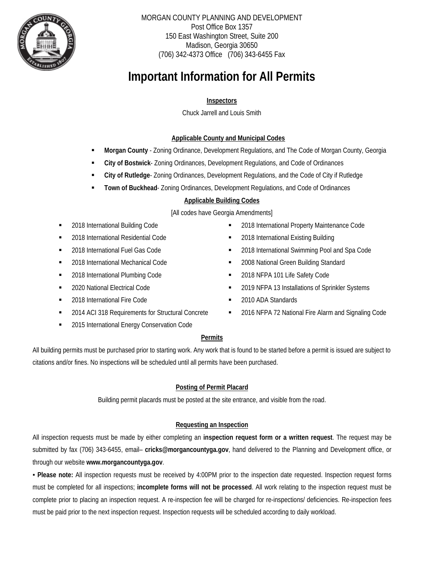

MORGAN COUNTY PLANNING AND DEVELOPMENT Post Office Box 1357 150 East Washington Street, Suite 200 Madison, Georgia 30650 (706) 342-4373 Office (706) 343-6455 Fax

# **Important Information for All Permits**

## **Inspectors**

Chuck Jarrell and Louis Smith

### **Applicable County and Municipal Codes**

- **Morgan County**  Zoning Ordinance, Development Regulations, and The Code of Morgan County, Georgia
- **City of Bostwick** Zoning Ordinances, Development Regulations, and Code of Ordinances
- **City of Rutledge** Zoning Ordinances, Development Regulations, and the Code of City if Rutledge
- **Town of Buckhead** Zoning Ordinances, Development Regulations, and Code of Ordinances

#### **Applicable Building Codes**

#### [All codes have Georgia Amendments]

- 2018 International Building Code
- 2018 International Residential Code
- 2018 International Fuel Gas Code
- 2018 International Mechanical Code
- **2018 International Plumbing Code**
- 2020 National Electrical Code
- **2018 International Fire Code**
- 2014 ACI 318 Requirements for Structural Concrete
- 2015 International Energy Conservation Code
- 2018 International Property Maintenance Code
- 2018 International Existing Building
- 2018 International Swimming Pool and Spa Code
- 2008 National Green Building Standard
- 2018 NFPA 101 Life Safety Code
- 2019 NFPA 13 Installations of Sprinkler Systems
- 2010 ADA Standards
- **2016 NFPA 72 National Fire Alarm and Signaling Code**

#### **Permits**

All building permits must be purchased prior to starting work. Any work that is found to be started before a permit is issued are subject to citations and/or fines. No inspections will be scheduled until all permits have been purchased.

#### **Posting of Permit Placard**

Building permit placards must be posted at the site entrance, and visible from the road.

#### **Requesting an Inspection**

All inspection requests must be made by either completing an **inspection request form or a written request**. The request may be submitted by fax (706) 343-6455, email– **cricks@morgancountyga.gov**, hand delivered to the Planning and Development office, or through our website **www.morgancountyga.gov**.

**▪ Please note:** All inspection requests must be received by 4:00PM prior to the inspection date requested. Inspection request forms must be completed for all inspections; **incomplete forms will not be processed**. All work relating to the inspection request must be complete prior to placing an inspection request. A re-inspection fee will be charged for re-inspections/ deficiencies. Re-inspection fees must be paid prior to the next inspection request. Inspection requests will be scheduled according to daily workload.